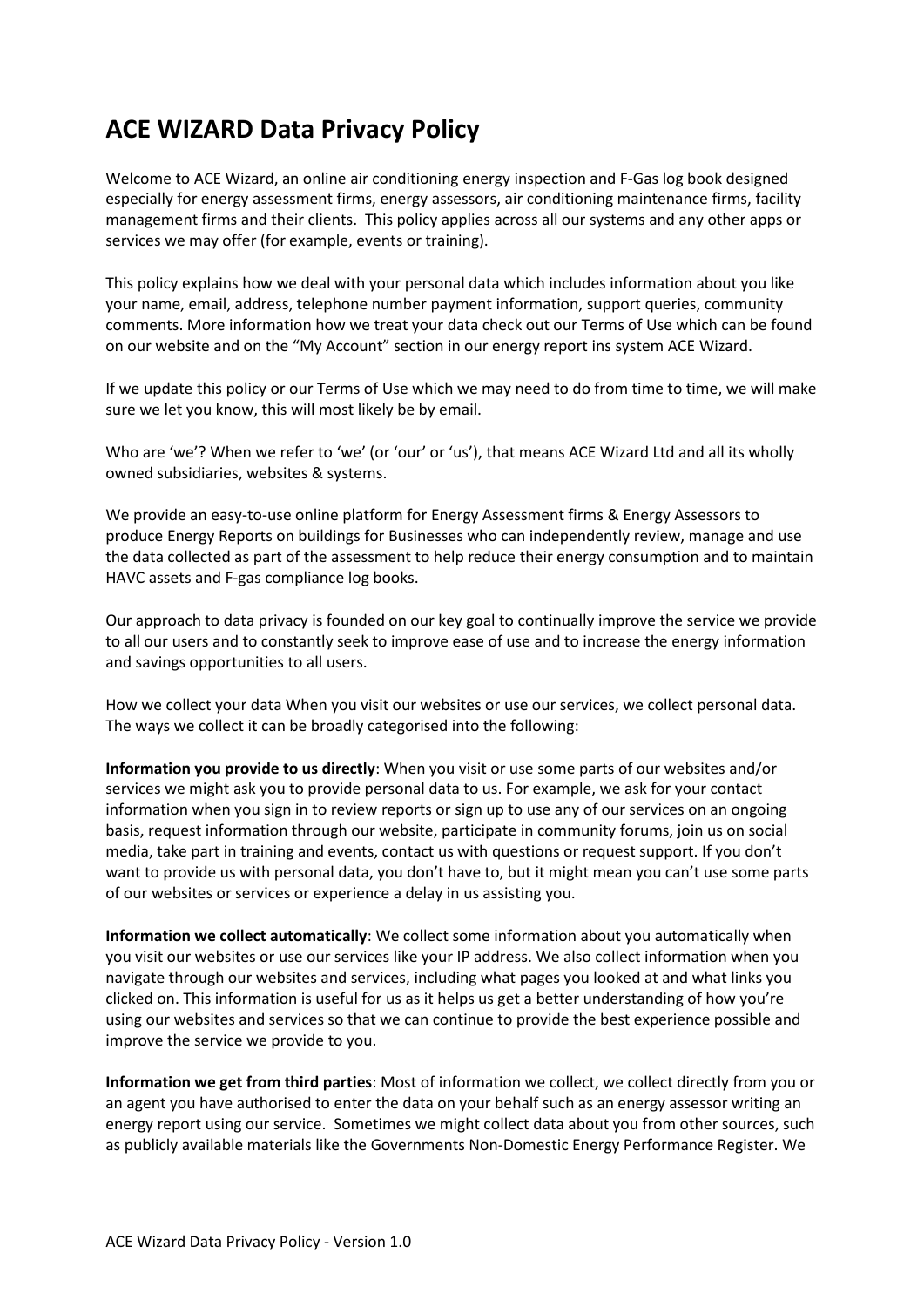## **ACE WIZARD Data Privacy Policy**

Welcome to ACE Wizard, an online air conditioning energy inspection and F-Gas log book designed especially for energy assessment firms, energy assessors, air conditioning maintenance firms, facility management firms and their clients. This policy applies across all our systems and any other apps or services we may offer (for example, events or training).

This policy explains how we deal with your personal data which includes information about you like your name, email, address, telephone number payment information, support queries, community comments. More information how we treat your data check out our Terms of Use which can be found on our website and on the "My Account" section in our energy report ins system ACE Wizard.

If we update this policy or our Terms of Use which we may need to do from time to time, we will make sure we let you know, this will most likely be by email.

Who are 'we'? When we refer to 'we' (or 'our' or 'us'), that means ACE Wizard Ltd and all its wholly owned subsidiaries, websites & systems.

We provide an easy-to-use online platform for Energy Assessment firms & Energy Assessors to produce Energy Reports on buildings for Businesses who can independently review, manage and use the data collected as part of the assessment to help reduce their energy consumption and to maintain HAVC assets and F-gas compliance log books.

Our approach to data privacy is founded on our key goal to continually improve the service we provide to all our users and to constantly seek to improve ease of use and to increase the energy information and savings opportunities to all users.

How we collect your data When you visit our websites or use our services, we collect personal data. The ways we collect it can be broadly categorised into the following:

**Information you provide to us directly**: When you visit or use some parts of our websites and/or services we might ask you to provide personal data to us. For example, we ask for your contact information when you sign in to review reports or sign up to use any of our services on an ongoing basis, request information through our website, participate in community forums, join us on social media, take part in training and events, contact us with questions or request support. If you don't want to provide us with personal data, you don't have to, but it might mean you can't use some parts of our websites or services or experience a delay in us assisting you.

**Information we collect automatically**: We collect some information about you automatically when you visit our websites or use our services like your IP address. We also collect information when you navigate through our websites and services, including what pages you looked at and what links you clicked on. This information is useful for us as it helps us get a better understanding of how you're using our websites and services so that we can continue to provide the best experience possible and improve the service we provide to you.

**Information we get from third parties**: Most of information we collect, we collect directly from you or an agent you have authorised to enter the data on your behalf such as an energy assessor writing an energy report using our service. Sometimes we might collect data about you from other sources, such as publicly available materials like the Governments Non-Domestic Energy Performance Register. We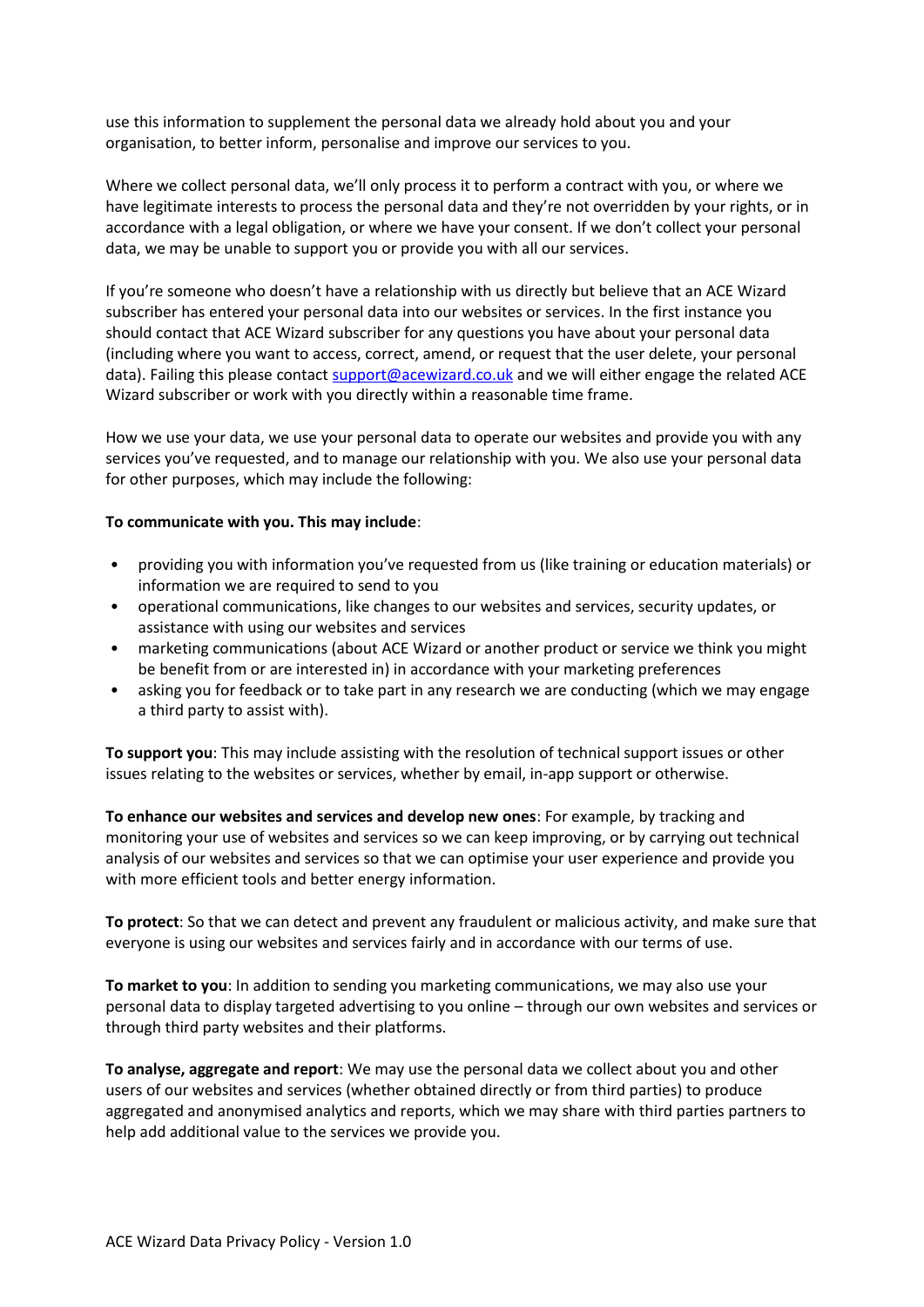use this information to supplement the personal data we already hold about you and your organisation, to better inform, personalise and improve our services to you.

Where we collect personal data, we'll only process it to perform a contract with you, or where we have legitimate interests to process the personal data and they're not overridden by your rights, or in accordance with a legal obligation, or where we have your consent. If we don't collect your personal data, we may be unable to support you or provide you with all our services.

If you're someone who doesn't have a relationship with us directly but believe that an ACE Wizard subscriber has entered your personal data into our websites or services. In the first instance you should contact that ACE Wizard subscriber for any questions you have about your personal data (including where you want to access, correct, amend, or request that the user delete, your personal data). Failing this please contact [support@acewizard.co.uk](mailto:support@acewizard.co.uk) and we will either engage the related ACE Wizard subscriber or work with you directly within a reasonable time frame.

How we use your data, we use your personal data to operate our websites and provide you with any services you've requested, and to manage our relationship with you. We also use your personal data for other purposes, which may include the following:

## **To communicate with you. This may include**:

- providing you with information you've requested from us (like training or education materials) or information we are required to send to you
- operational communications, like changes to our websites and services, security updates, or assistance with using our websites and services
- marketing communications (about ACE Wizard or another product or service we think you might be benefit from or are interested in) in accordance with your marketing preferences
- asking you for feedback or to take part in any research we are conducting (which we may engage a third party to assist with).

**To support you**: This may include assisting with the resolution of technical support issues or other issues relating to the websites or services, whether by email, in-app support or otherwise.

**To enhance our websites and services and develop new ones**: For example, by tracking and monitoring your use of websites and services so we can keep improving, or by carrying out technical analysis of our websites and services so that we can optimise your user experience and provide you with more efficient tools and better energy information.

**To protect**: So that we can detect and prevent any fraudulent or malicious activity, and make sure that everyone is using our websites and services fairly and in accordance with our terms of use.

**To market to you**: In addition to sending you marketing communications, we may also use your personal data to display targeted advertising to you online – through our own websites and services or through third party websites and their platforms.

**To analyse, aggregate and report**: We may use the personal data we collect about you and other users of our websites and services (whether obtained directly or from third parties) to produce aggregated and anonymised analytics and reports, which we may share with third parties partners to help add additional value to the services we provide you.